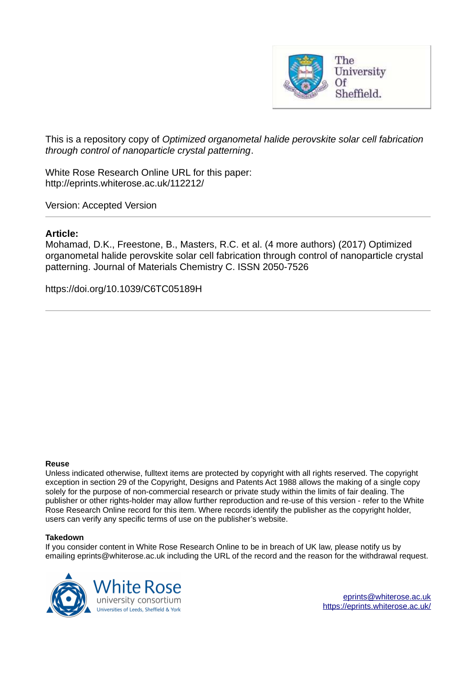

This is a repository copy of *Optimized organometal halide perovskite solar cell fabrication through control of nanoparticle crystal patterning*.

White Rose Research Online URL for this paper: http://eprints.whiterose.ac.uk/112212/

Version: Accepted Version

# **Article:**

Mohamad, D.K., Freestone, B., Masters, R.C. et al. (4 more authors) (2017) Optimized organometal halide perovskite solar cell fabrication through control of nanoparticle crystal patterning. Journal of Materials Chemistry C. ISSN 2050-7526

https://doi.org/10.1039/C6TC05189H

# **Reuse**

Unless indicated otherwise, fulltext items are protected by copyright with all rights reserved. The copyright exception in section 29 of the Copyright, Designs and Patents Act 1988 allows the making of a single copy solely for the purpose of non-commercial research or private study within the limits of fair dealing. The publisher or other rights-holder may allow further reproduction and re-use of this version - refer to the White Rose Research Online record for this item. Where records identify the publisher as the copyright holder, users can verify any specific terms of use on the publisher's website.

# **Takedown**

If you consider content in White Rose Research Online to be in breach of UK law, please notify us by emailing eprints@whiterose.ac.uk including the URL of the record and the reason for the withdrawal request.

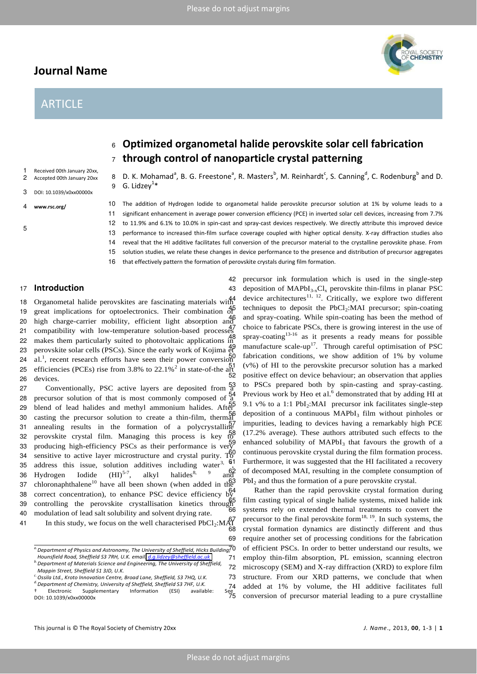# **Journal Name**

# **ARTICLE**



1 Received 00th January 20xx,<br>2 Accepted 00th January 20xx 2 Accepted 00th January 20xx

3 DOI: 10.1039/x0xx00000x

- 4 **www.rsc.org/**
- 5

10 The addition of Hydrogen Iodide to organometal halide perovskite precursor solution at 1% by volume leads to a 11 significant enhancement in average power conversion efficiency (PCE) in inverted solar cell devices, increasing from 7.7%

8 D. K. Mohamad<sup>a</sup>, B. G. Freestone<sup>a</sup>, R. Masters<sup>b</sup>, M. Reinhardt<sup>c</sup>, S. Canning<sup>d</sup>, C. Rodenburg<sup>b</sup> and D.

12 to 11.9% and 6.1% to 10.0% in spin-cast and spray-cast devices respectively. We directly attribute this improved device

13 performance to increased thin-film surface coverage coupled with higher optical density. X-ray diffraction studies also

14 reveal that the HI additive facilitates full conversion of the precursor material to the crystalline perovskite phase. From

15 solution studies, we relate these changes in device performance to the presence and distribution of precursor aggregates

42 precursor ink formulation which is used in the single-step 43 deposition of  $MAPbI_{3-x}Cl_x$  perovskite thin-films in planar PSC device architectures<sup>11, 12</sup>. Critically, we explore two different techniques to deposit the PbCl<sub>2</sub>:MAI precursor; spin-coating and spray-coating. While spin-coating has been the method of choice to fabricate PSCs, there is growing interest in the use of spray-coating $13-16$  as it presents a ready means for possible manufacture scale-up<sup>17</sup>. Through careful optimisation of PSC fabrication conditions, we show addition of 1% by volume  $(v\%)$  of HI to the perovskite precursor solution has a marked positive effect on device behaviour; an observation that applies to PSCs prepared both by spin-casting and spray-casting.

16 that effectively pattern the formation of perovskite crystals during film formation.

# <sup>17</sup> **Introduction**

 Organometal halide perovskites are fascinating materials with great implications for optoelectronics. Their combination of high charge-carrier mobility, efficient light absorption and 21 compatibility with low-temperature solution-based processes makes them particularly suited to photovoltaic applications in perovskite solar cells (PSCs). Since the early work of Kojima et 24 al.<sup>1</sup>, recent research efforts have seen their power conversion 25 efficiencies (PCEs) rise from 3.8% to 22.1%<sup>2</sup> in state-of-the art devices.

9  $\,$  G. Lidzey $^{1\ast}$ 

27 Conventionally, PSC active layers are deposited from  $^{53}_{a}$ 28 precursor solution of that is most commonly composed of a 29 blend of lead halides and methyl ammonium halides. After 30 casting the precursor solution to create a thin-film, thermal 31 annealing results in the formation of a polycrystalline 32 perovskite crystal film. Managing this process is key to 33 producing high-efficiency PSCs as their performance is very 34 sensitive to active layer microstructure and crystal purity. To 35 address this issue, solution additives including water<sup>3, 61</sup><br>36 Hydrogen Iodide  $(HI)^{5.7}$ , alkyl halides<sup>8, 9</sup> and 36 Hydrogen Iodide  $(HI)^{5-7}$ , alkyl halides<sup>8,</sup> 37 chloronaphthalene<sup>10</sup> have all been shown (when added in the 38 correct concentration), to enhance PSC device efficiency by  $39$  controlling the perovskite crystallisation kinetics through  $66$ 40 modulation of lead salt solubility and solvent drying rate. In this study, we focus on the well characterised  $PbCl_2$ : $M_{68}^{67}$  $\frac{54}{9}$  Previous work by Heo et al.<sup>6</sup> demonstrated that by adding HI at



71 employ thin-film absorption, PL emission, scanning electron 72 microscopy (SEM) and X-ray diffraction (XRD) to explore film 73 structure. From our XRD patterns, we conclude that when added at 1% by volume, the HI additive facilitates full conversion of precursor material leading to a pure crystalline



*a.Department of Physics and Astronomy, The University of Sheffield, Hicks Building, Hounsfield Road, Sheffield S3 7RH, U.K. email: [d.g.lidzey@sheffield.ac.uk](mailto:d.g.lidzey@sheffield.ac.uk)*

*b.Department of Materials Science and Engineering, The University of Sheffield, Mappin Street, Sheffield S1 3JD, U.K.* 

*c.Ossila Ltd., Kroto Innovation Centre, Broad Lane, Sheffield, S3 7HQ, U.K.* 

*d.Department of Chemistry, University of Sheffield, Sheffield S3 7HF, U.K.* 

ゆ Electronic Supplementary Information (ESI) available: See DOI: 10.1039/x0xx00000x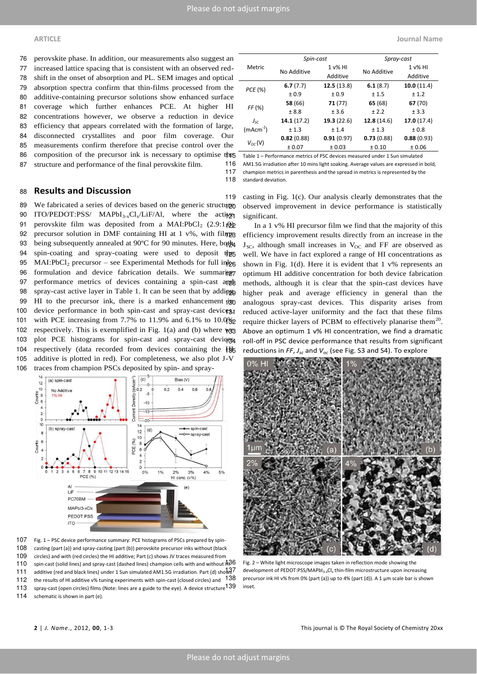perovskite phase. In addition, our measurements also suggest an increased lattice spacing that is consistent with an observed red- shift in the onset of absorption and PL. SEM images and optical absorption spectra confirm that thin-films processed from the additive-containing precursor solutions show enhanced surface coverage which further enhances PCE. At higher HI concentrations however, we observe a reduction in device efficiency that appears correlated with the formation of large, disconnected crystallites and poor film coverage. Our measurements confirm therefore that precise control over the 86 composition of the precursor ink is necessary to optimise the structure and performance of the final perovskite film.

|             | Spin-cast   |            | Spray-cast  |            |  |  |
|-------------|-------------|------------|-------------|------------|--|--|
| Metric      |             | $1 v\%$ HI |             | $1 v\%$ HI |  |  |
|             | No Additive | Additive   | No Additive | Additive   |  |  |
| PCE (%)     | 6.7(7.7)    | 12.5(13.8) | 6.1(8.7)    | 10.0(11.4) |  |  |
|             | ± 0.9       | ± 0.9      | ± 1.5       | ± 1.2      |  |  |
| FF (%)      | 58 (66)     | 71 (77)    | 65 (68)     | 67 (70)    |  |  |
|             | ± 8.8       | ± 3.6      | ± 2.2       | ± 3.3      |  |  |
| $J_{SC}$    | 14.1(17.2)  | 19.3(22.6) | 12.8(14.6)  | 17.0(17.4) |  |  |
| $(mAcm-2)$  | ± 1.3       | ± 1.4      | ± 1.3       | ±0.8       |  |  |
| $V_{OC}(V)$ | 0.82(0.88)  | 0.91(0.97) | 0.73(0.88)  | 0.88(0.93) |  |  |
|             | ± 0.07      | ± 0.03     | ± 0.10      | ± 0.06     |  |  |

Table 1 – Performance metrics of PSC devices measured under 1 Sun simulated 116 AM1.5G irradiation after 10 mins light soaking. Average values are expressed in bold, 117 champion metrics in parenthesis and the spread in metrics is represented by the 118 standard deviation.

# <sup>88</sup> **Results and Discussion**

89 We fabricated a series of devices based on the generic structupe

90 ITO/PEDOT:PSS/  $MAPbI_{3-x}Cl_{x}/LiF/Al$ , where the active 91 perovskite film was deposited from a MAI:PbCl<sub>2</sub>  $(2.9:1,0)$ 92 precursor solution in DMF containing HI at  $1 \text{ v\%}$ , with filmpa 93 being subsequently annealed at 90°C for 90 minutes. Here, both 94 spin-coating and spray-coating were used to deposit the 95 MAI:PbCl<sub>2</sub> precursor – see Experimental Methods for full in  $\log$ 96 formulation and device fabrication details. We summarise 97 performance metrics of devices containing a spin-cast and 98 spray-cast active layer in Table 1. It can be seen that by adding 99 HI to the precursor ink, there is a marked enhancement  $\frac{1}{2}$ 100 device performance in both spin-cast and spray-cast devices, 101 with PCE increasing from 7.7% to 11.9% and 6.1% to 10.0% 102 respectively. This is exemplified in Fig. 1(a) and (b) where we 103 plot PCE histograms for spin-cast and spray-cast devices 104 respectively (data recorded from devices containing the Hg 105 additive is plotted in red). For completeness, we also plot J-V 106 traces from champion PSCs deposited by spin- and spray-



107 Fig. 1 - PSC device performance summary: PCE histograms of PSCs prepared by spin-108 casting (part (a)) and spray-casting (part (b)) perovskite precursor inks without (black 109 circles) and with (red circles) the HI additive; Part (c) shows JV traces measured from 110 spin-cast (solid lines) and spray-cast (dashed lines) champion cells with and without  $\frac{1}{4}36$ 111 additive (red and black lines) under 1 Sun simulated AM1.5G irradiation. Part (d) shows<sup>7</sup> 112 the results of HI additive v% tuning experiments with spin-cast (closed circles) and 138 113 spray-cast (open circles) films (Note: lines are a guide to the eye). A device structure 139 inset. 114 schematic is shown in part (e).

119 casting in Fig. 1(c). Our analysis clearly demonstrates that the observed improvement in device performance is statistically significant.

In a 1 v% HI precursor film we find that the majority of this efficiency improvement results directly from an increase in the  $J_{SC}$ , although small increases in  $V_{OC}$  and FF are observed as well. We have in fact explored a range of HI concentrations as shown in Fig. 1(d). Here it is evident that  $1 \vee \%$  represents an optimum HI additive concentration for both device fabrication methods, although it is clear that the spin-cast devices have higher peak and average efficiency in general than the analogous spray-cast devices. This disparity arises from reduced active-layer uniformity and the fact that these films require thicker layers of PCBM to effectively planarise them<sup>20</sup>. Above an optimum 1 v% HI concentration, we find a dramatic roll-off in PSC device performance that results from significant reductions in *FF*, *J*<sub>*sc*</sub> and *V*<sub>*oc*</sub> (see Fig. S3 and S4). To explore



Fig. 2 - White light microscope images taken in reflection mode showing the development of PEDOT:PSS/MAPbI<sub>3-x</sub>Cl<sub>x</sub> thin-film microstructure upon increasing precursor ink HI v% from 0% (part (a)) up to 4% (part (d)). A 1 µm scale bar is shown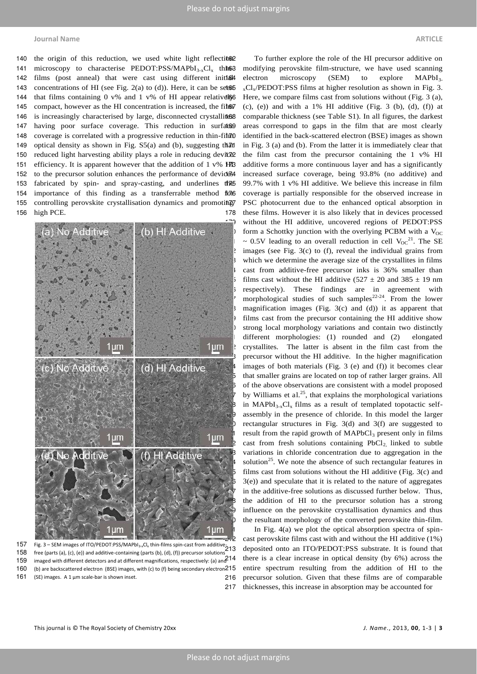140 the origin of this reduction, we used white light reflection? 141 microscopy to characterise PEDOT:PSS/MAPbI<sub>3-x</sub>Cl<sub>x</sub> thin63 142 films (post anneal) that were cast using different initial 143 concentrations of HI (see Fig. 2(a) to (d)). Here, it can be set 665 144 that films containing 0 v% and 1 v% of HI appear relativel§6 145 compact, however as the HI concentration is increased, the fil $\delta$ 146 is increasingly characterised by large, disconnected crystallites 147 having poor surface coverage. This reduction in surfate9 148 coverage is correlated with a progressive reduction in thin-film10 149 optical density as shown in Fig.  $S5(a)$  and (b), suggesting that 150 reduced light harvesting ability plays a role in reducing deviced 151 efficiency. It is apparent however that the addition of 1 v% HMB 152 to the precursor solution enhances the performance of devices 153 fabricated by spin- and spray-casting, and underlines the 154 importance of this finding as a transferrable method flor6 155 controlling perovskite crystallisation dynamics and promoting 156 high PCE.

<span id="page-3-0"></span>

157 Fig. 3 – SEM images of ITO/PEDOT:PSS/MAPbl<sub>3-x</sub>Cl<sub>x</sub> thin-films spin-cast from additive<sup>-</sup>213 158 free (parts (a), (c), (e)) and additive-containing (parts (b), (d), (f)) precursor solutions 159 imaged with different detectors and at different magnifications, respectively: (a) and  $214$ 160 (b) are backscattered electron (BSE) images, with (c) to (f) being secondary electron<sup>215</sup> 161 (SE) images. A 1 µm scale-bar is shown inset.

To further explore the role of the HI precursor additive on modifying perovskite film-structure, we have used scanning electron microscopy (SEM) to explore  $MAPbI<sub>3</sub>$  $_{x}Cl_{x}/$ PEDOT:PSS films at higher resolution as shown in Fig. 3. Here, we compare films cast from solutions without (Fig.  $3$  (a),  $(0, (e))$  and with a 1% HI additive (Fig. 3  $(b)$ ,  $(d)$ ,  $(f)$ ) at comparable thickness (see Table S1). In all figures, the darkest areas correspond to gaps in the film that are most clearly identified in the back-scattered electron (BSE) images as shown in Fig.  $3$  (a) and (b). From the latter it is immediately clear that the film cast from the precursor containing the  $1 \text{ v\%}$  HI additive forms a more continuous layer and has a significantly increased surface coverage, being 93.8% (no additive) and 99.7% with 1 v% HI additive. We believe this increase in film coverage is partially responsible for the observed increase in PSC photocurrent due to the enhanced optical absorption in 178 these films. However it is also likely that in devices processed without the HI additive, uncovered regions of PEDOT:PSS form a Schottky junction with the overlying PCBM with a  $V_{OC}$  $\sim 0.5$ V leading to an overall reduction in cell V<sub>OC</sub><sup>21</sup>. The SE images (see Fig.  $3(c)$  to (f), reveal the individual grains from which we determine the average size of the crystallites in films cast from additive-free precursor inks is 36% smaller than films cast without the HI additive (527  $\pm$  20 and 385  $\pm$  19 nm respectively). These findings are in agreement with morphological studies of such samples<sup>22-24</sup>. From the lower magnification images (Fig. 3(c) and (d)) it as apparent that films cast from the precursor containing the HI additive show strong local morphology variations and contain two distinctly different morphologies: (1) rounded and (2) elongated crystallites. The latter is absent in the film cast from the precursor without the HI additive. In the higher magnification images of both materials (Fig. 3 (e) and (f)) it becomes clear that smaller grains are located on top of rather larger grains. All of the above observations are consistent with a model proposed by Williams et al.<sup>25</sup>, that explains the morphological variations in MAPbI<sub>3-x</sub>Cl<sub>x</sub> films as a result of templated topotactic selfassembly in the presence of chloride. In this model the larger rectangular structures in Fig.  $3(d)$  and  $3(f)$  are suggested to result from the rapid growth of  $MAPbCl<sub>3</sub>$  present only in films cast from fresh solutions containing  $PbCl<sub>2</sub>$  linked to subtle variations in chloride concentration due to aggregation in the solution<sup>25</sup>. We note the absence of such rectangular features in films cast from solutions without the HI additive (Fig.  $3(c)$  and  $3(e)$ ) and speculate that it is related to the nature of aggregates in the additive-free solutions as discussed further below. Thus, the addition of HI to the precursor solution has a strong influence on the perovskite crystallisation dynamics and thus the resultant morphology of the converted perovskite thin-film.

In Fig.  $4(a)$  we plot the optical absorption spectra of spincast perovskite films cast with and without the HI additive (1%) deposited onto an ITO/PEDOT:PSS substrate. It is found that there is a clear increase in optical density (by 6%) across the entire spectrum resulting from the addition of HI to the 216 precursor solution. Given that these films are of comparable 217 thicknesses, this increase in absorption may be accounted for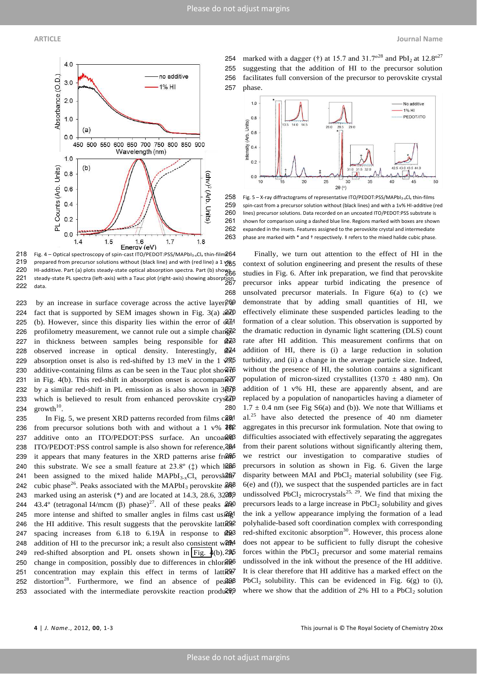

219 prepared from precursor solutions without (black line) and with (red line) a 1  $\frac{1065}{200}$ 220 HI-additive. Part (a) plots steady-state optical absorption spectra. Part (b) shows 221 steady-state PL spectra (left-axis) with a Tauc plot (right-axis) showing absorption<br>221 steady-state PL spectra (left-axis) with a Tauc plot (right-axis) showing absorption 222 data.

223 by an increase in surface coverage across the active layer $269$ 224 fact that is supported by SEM images shown in Fig. 3(a)  $a\overline{a}d\theta$ 225 (b). However, since this disparity lies within the error of  $d\vec{r}$ 226 profilometry measurement, we cannot rule out a simple change 227 in thickness between samples being responsible for  $\frac{47}{3}$ 228 observed increase in optical density. Interestingly, the 229 absorption onset is also is red-shifted by 13 meV in the 1  $\frac{2}{\sqrt{5}}$ 230 additive-containing films as can be seen in the Tauc plot sho $\sqrt[2]{6}$ 231 in Fig. 4(b). This red-shift in absorption onset is accompanied 232 by a similar red-shift in PL emission as is also shown in  $3\frac{27}{9}$ 233 which is believed to result from enhanced perovskite crys<sup>27</sup>aP 234  $growth<sup>10</sup>$ .

235 In Fig. 5, we present XRD patterns recorded from films cast 236 from precursor solutions both with and without a 1 v%  $402$ 237 additive onto an ITO/PEDOT:PSS surface. An uncoate &B 238 ITO/PEDOT:PSS control sample is also shown for reference, 2884 239 it appears that many features in the XRD patterns arise from  $\frac{239}{100}$ 240 this substrate. We see a small feature at  $23.8^\circ$  ( $\ddagger$ ) which has 241 been assigned to the mixed halide  $MAPbI_{3-x}Cl_x$  perovskated 242 cubic phase<sup>26</sup>. Peaks associated with the MAPbI<sub>3</sub> perovskite  $\frac{268}{400}$ 243 marked using an asterisk (\*) and are located at 14.3, 28.6, 322099 244 43.4° (tetragonal I4/mcm  $(\beta)$  phase)<sup>27</sup>. All of these peaks  $\frac{200}{400}$ 245 more intense and shifted to smaller angles in films cast usi $\frac{200}{100}$ 246 the HI additive. This result suggests that the perovskite latt<sup>292</sup> 247 spacing increases from  $6.18$  to  $6.19\text{\AA}$  in response to  $40\text{\AA}$ 248 addition of HI to the precursor ink; a result also consistent ware 249 red-shifted absorption and PL onsets shown in Fig.  $4(b)$ .  $2\frac{95}{6}$ 250 change in composition, possibly due to differences in chloring 251 concentration may explain this effect in terms of latt $\mathbb{R}$ 252 distortion<sup>28</sup>. Furthermore, we find an absence of peaks 253 associated with the intermediate perovskite reaction produ $299$ 

254 marked with a dagger (†) at 15.7 and  $31.7^{\circ 28}$  and PbI<sub>2</sub> at 12.8<sup> $\circ$ 27</sup> 255 suggesting that the addition of HI to the precursor solution 256 facilitates full conversion of the precursor to perovskite crystal 257 phase.



258 Fig. 5 - X-ray diffractograms of representative ITO/PEDOT:PSS/MAPbI<sub>3-x</sub>Cl<sub>x</sub> thin-films<br>259 spin-cast from a precursor solution without (black lines) and with a 1v% HI-additive spin-cast from a precursor solution without (black lines) and with a 1v% HI-additive (red 260 lines) precursor solutions. Data recorded on an uncoated ITO/PEDOT:PSS substrate is 261 shown for comparison using a dashed blue line. Regions marked with boxes are shown 262 expanded in the insets. Features assigned to the perovskite crystal and intermediate 263 phase are marked with \* and † respectively. ‡ refers to the mixed halide cubic phase.

Finally, we turn out attention to the effect of HI in the context of solution engineering and present the results of these studies in Fig. 6. After ink preparation, we find that perovskite precursor inks appear turbid indicating the presence of 268 unsolvated precursor materials. In Figure 6(a) to (c) we demonstrate that by adding small quantities of HI, we effectively eliminate these suspended particles leading to the formation of a clear solution. This observation is supported by 272 the dramatic reduction in dynamic light scattering (DLS) count rate after HI addition. This measurement confirms that on addition of HI, there is (i) a large reduction in solution turbidity, and (ii) a change in the average particle size. Indeed, without the presence of HI, the solution contains a significant population of micron-sized crystallites (1370  $\pm$  480 nm). On addition of  $1 \text{ v\% } H$ , these are apparently absent, and are replaced by a population of nanoparticles having a diameter of 280 1.7  $\pm$  0.4 nm (see Fig S6(a) and (b)). We note that Williams et al.<sup>25</sup> have also detected the presence of 40 nm diameter aggregates in this precursor ink formulation. Note that owing to difficulties associated with effectively separating the aggregates from their parent solutions without significantly altering them, we restrict our investigation to comparative studies of precursors in solution as shown in Fig. 6. Given the large disparity between MAI and  $PbCl<sub>2</sub>$  material solubility (see Fig.  $6(e)$  and (f)), we suspect that the suspended particles are in fact **289** undissolved  $PbCl_2$  microcrystals<sup>25, 29</sup>. We find that mixing the precursors leads to a large increase in  $PbCl<sub>2</sub>$  solubility and gives the ink a yellow appearance implying the formation of a lead polyhalide-based soft coordination complex with corresponding red-shifted excitonic absorption<sup>30</sup>. However, this process alone does not appear to be sufficient to fully disrupt the cohesive forces within the  $PbCl<sub>2</sub>$  precursor and some material remains undissolved in the ink without the presence of the HI additive. It is clear therefore that HI additive has a marked effect on the  $PbCl<sub>2</sub>$  solubility. This can be evidenced in Fig. 6(g) to (i), where we show that the addition of 2% HI to a  $PbCl<sub>2</sub>$  solution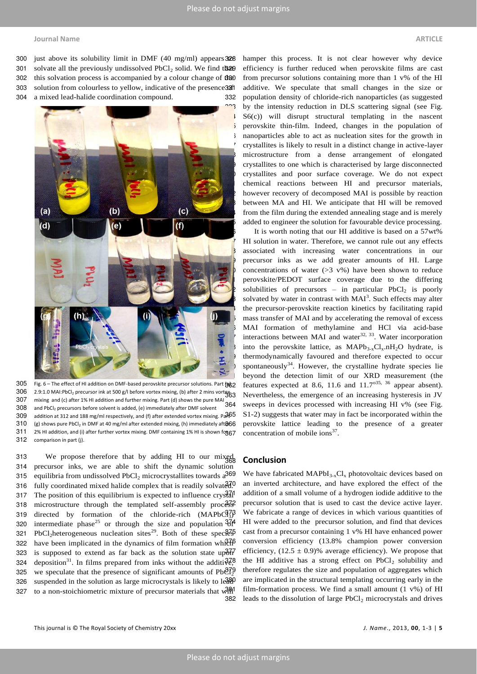# **Journal Name ARTICLE**

300 just above its solubility limit in DMF  $(40 \text{ mg/ml})$  appears 328

301 solvate all the previously undissolved  $PbCl<sub>2</sub>$  solid. We find the solution 302 this solvation process is accompanied by a colour change of the 303 solution from colourless to yellow, indicative of the presence 32ft

304 a mixed lead-halide coordination compound.



305 Fig. 6 - The effect of HI addition on DMF-based perovskite precursor solutions. Part (a) 306 2.9:1.0 MAI:PbCl<sub>2</sub> precursor ink at 500 g/l before vortex mixing, (b) after 2 mins vortex 300 2.3.1.0 minimum borg preceded interests on the part (d) shows the pure MAI<br>307 mixing and (c) after 1% HI addition and further mixing. Part (d) shows the pure MAI  $308$  and PbCl<sub>2</sub> precursors before solvent is added, (e) immediately after DMF solvent 309 addition at 312 and 188 mg/ml respectively, and (f) after extended vortex mixing. Pa $365$ 310 (g) shows pure PbCl<sub>2</sub> in DMF at 40 mg/ml after extended mixing, (h) immediately aft $866$ 311 2% HI addition, and (i) after further vortex mixing. DMF containing 1% HI is shown fog67 312 comparison in part (j).

313 We propose therefore that by adding HI to our mixed 314 precursor inks, we are able to shift the dynamic solution 315 equilibria from undissolved  $PbCl<sub>2</sub>$  microcrystallites towards a<sup>369</sup> 316 fully coordinated mixed halide complex that is readily solvated.<sup>370</sup> 317 The position of this equilibrium is expected to influence  $\text{crys}\^2 d1$ 318 microstructure through the templated self-assembly processed 319 directed by formation of the chloride-rich  $(MAPbC<sup>3</sup>)<sup>3</sup>$ 320 intermediate phase<sup>25</sup> or through the size and population  $\frac{374}{1}$ 321 PbCl<sub>2</sub>heterogeneous nucleation sites<sup>29</sup>. Both of these spec $\frac{375}{6}$ 322 have been implicated in the dynamics of film formation which  $\beta$ 323 is supposed to extend as far back as the solution state up $\frac{37}{60}$ 324 deposition<sup>31</sup>. In films prepared from inks without the additi $\frac{328}{96}$ 325 we speculate that the presence of significant amounts of  $Pb\ddot{\theta} \tilde{l}_2^0$ 326 suspended in the solution as large microcrystals is likely to  $le^{380}$ 327 to a non-stoichiometric mixture of precursor materials that will

hamper this process. It is not clear however why device efficiency is further reduced when perovskite films are cast from precursor solutions containing more than  $1 \vee\%$  of the HI additive. We speculate that small changes in the size or 332 population density of chloride-rich nanoparticles (as suggested 3<sup>00</sup>3 by the intensity reduction in DLS scattering signal (see Fig.  $S<sub>6</sub>(c)$ ) will disrupt structural templating in the nascent 5 perovskite thin-film. Indeed, changes in the population of nanoparticles able to act as nucleation sites for the growth in 337 crystallites is likely to result in a distinct change in active-layer microstructure from a dense arrangement of elongated crystallites to one which is characterised by large disconnected crystallites and poor surface coverage. We do not expect chemical reactions between HI and precursor materials, however recovery of decomposed MAI is possible by reaction between MA and HI. We anticipate that HI will be removed from the film during the extended annealing stage and is merely added to engineer the solution for favourable device processing.

It is worth noting that our HI additive is based on a 57wt% HI solution in water. Therefore, we cannot rule out any effects associated with increasing water concentrations in our precursor inks as we add greater amounts of HI. Large concentrations of water ( $>3$  v%) have been shown to reduce perovskite/PEDOT surface coverage due to the differing solubilities of precursors – in particular  $PbCl<sub>2</sub>$  is poorly  $\blacktriangleright$  solvated by water in contrast with MAI<sup>3</sup>. Such effects may alter the precursor-perovskite reaction kinetics by facilitating rapid mass transfer of MAI and by accelerating the removal of excess MAI formation of methylamine and HCl via acid-base interactions between MAI and water $32, 33$ . Water incorporation into the perovskite lattice, as  $MAPb_{3-x}Cl_x \n In H_2O$  hydrate, is thermodynamically favoured and therefore expected to occur spontaneously<sup>34</sup>. However, the crystalline hydrate species lie beyond the detection limit of our XRD measurement (the features expected at 8.6, 11.6 and  $11.7^{\text{o}35, 36}$  appear absent). Nevertheless, the emergence of an increasing hysteresis in JV sweeps in devices processed with increasing HI v% (see Fig. S1-2) suggests that water may in fact be incorporated within the perovskite lattice leading to the presence of a greater concentration of mobile ions $37$ .

# <sup>368</sup> **Conclusion**

We have fabricated  $MAPbI_{3-x}Cl_x$  photovoltaic devices based on an inverted architecture, and have explored the effect of the addition of a small volume of a hydrogen iodide additive to the precursor solution that is used to cast the device active layer. We fabricate a range of devices in which various quantities of HI were added to the precursor solution, and find that devices cast from a precursor containing 1 v% HI have enhanced power conversion efficiency (13.8% champion power conversion efficiency,  $(12.5 \pm 0.9)$ % average efficiency). We propose that the HI additive has a strong effect on  $PbCl<sub>2</sub>$  solubility and therefore regulates the size and population of aggregates which are implicated in the structural templating occurring early in the film-formation process. We find a small amount  $(1 \text{ v\%})$  of HI 382 leads to the dissolution of large  $PbCl<sub>2</sub>$  microcrystals and drives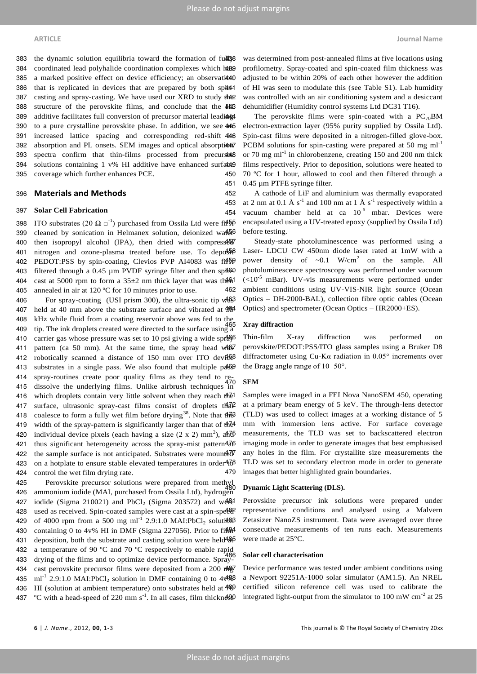383 the dynamic solution equilibria toward the formation of fulls 384 coordinated lead polyhalide coordination complexes which has 385 a marked positive effect on device efficiency; an observation 386 that is replicated in devices that are prepared by both spin-1 387 casting and spray-casting. We have used our XRD to study the 388 structure of the perovskite films, and conclude that the HI 389 additive facilitates full conversion of precursor material leadiant 390 to a pure crystalline perovskite phase. In addition, we see 445 391 increased lattice spacing and corresponding red-shift 446 392 absorption and PL onsets. SEM images and optical absorption 393 spectra confirm that thin-films processed from precurs to the 394 solutions containing 1 v% HI additive have enhanced surfactors 395 coverage which further enhances PCE.

### <sup>396</sup> **Materials and Methods**

### 397 **Solar Cell Fabrication**

398 ITO substrates (20  $\Omega$   $\square$ <sup>-1</sup>) purchased from Ossila Ltd were fi**f**<sup>55</sup> 399 cleaned by sonication in Helmanex solution, deionized water 400 then isopropyl alcohol (IPA), then dried with compressed 401 nitrogen and ozone-plasma treated before use. To deposible 402 PEDOT:PSS by spin-coating, Clevios PVP AI4083 was fits 403 filtered through a 0.45  $\mu$ m PVDF syringe filter and then sp $\frac{460}{10}$ 404 cast at 5000 rpm to form a  $35\pm2$  nm thick layer that was then 405 annealed in air at 120 ºC for 10 minutes prior to use.

406 For spray-coating (USI prism 300), the ultra-sonic tip was 407 held at 40 mm above the substrate surface and vibrated at  $464$ 408 kHz while fluid from a coating reservoir above was fed to the 409 tip. The ink droplets created were directed to the surface using a 410 carrier gas whose pressure was set to 10 psi giving a wide spr $466$ 411 pattern (ca 50 mm). At the same time, the spray head  $w46s7$ 412 robotically scanned a distance of 150 mm over ITO devices 413 substrates in a single pass. We also found that multiple passed 414 spray-routines create poor quality films as they tend to re-415 dissolve the underlying films. Unlike airbrush techniques in 416 which droplets contain very little solvent when they reach the 417 surface, ultrasonic spray-cast films consist of droplets that 418 coalesce to form a fully wet film before drying<sup>38</sup>. Note that  $\frac{47}{9}$ 419 width of the spray-pattern is significantly larger than that of the 420 individual device pixels (each having a size  $(2 \times 2)$  mm<sup>2</sup>), and  $\delta$ 421 thus significant heterogeneity across the spray-mist pattern $4\overline{46}$ 422 the sample surface is not anticipated. Substrates were mounted 423 on a hotplate to ensure stable elevated temperatures in order $47\delta$ 424 control the wet film drying rate.

425 Perovskite precursor solutions were prepared from methyl 426 ammonium iodide (MAI, purchased from Ossila Ltd), hydrogen 427 iodide (Sigma 210021) and PbCl<sub>2</sub> (Sigma 203572) and were 428 used as received. Spin-coated samples were cast at a spin-speed 429 of 4000 rpm from a 500 mg ml<sup>-1</sup> 2.9:1.0 MAI:PbCl<sub>2</sub> solution 430 containing 0 to 4v% HI in DMF (Sigma 227056). Prior to filler 431 deposition, both the substrate and casting solution were held<sup>486</sup> 432 a temperature of 90 °C and 70 °C respectively to enable rapid 433 drying of the films and to optimize device performance. Spray-434 cast perovskite precursor films were deposited from a 200 mg/ 435 ml<sup>-1</sup> 2.9:1.0 MAI:PbCl<sub>2</sub> solution in DMF containing 0 to  $4\frac{488}{9}$ 436 HI (solution at ambient temperature) onto substrates held at  $\frac{4}{90}$ 437 °C with a head-speed of 220 mm  $s^{-1}$ . In all cases, film thickness was determined from post-annealed films at five locations using profilometry. Spray-coated and spin-coated film thickness was adjusted to be within 20% of each other however the addition of HI was seen to modulate this (see Table S1). Lab humidity was controlled with an air conditioning system and a desiccant dehumidifier (Humidity control systems Ltd DC31 T16).

The perovskite films were spin-coated with a  $PC_{70}BM$ electron-extraction layer (95% purity supplied by Ossila Ltd). Spin-cast films were deposited in a nitrogen-filled glove-box. PCBM solutions for spin-casting were prepared at 50 mg  $ml<sup>-1</sup>$ or 70 mg m $l^{-1}$  in chlorobenzene, creating 150 and 200 nm thick films respectively. Prior to deposition, solutions were heated to 450 70 °C for 1 hour, allowed to cool and then filtered through a 451 0.45 µm PTFE syringe filter.

452 A cathode of LiF and aluminium was thermally evaporated 453 at 2 nm at 0.1 Å  $s^{-1}$  and 100 nm at 1 Å  $s^{-1}$  respectively within a 454 vacuum chamber held at ca  $10^{-6}$  mbar. Devices were encapsulated using a UV-treated epoxy (supplied by Ossila Ltd) before testing.

Steady-state photoluminescence was performed using a Laser- LDCU CW 450nm diode laser rated at 1mW with a **450** power density of  $\sim 0.1$  W/cm<sup>2</sup> on the sample. All photoluminescence spectroscopy was performed under vacuum  $(<10<sup>-5</sup>$  mBar). UV-vis measurements were performed under 462 ambient conditions using UV-VIS-NIR light source (Ocean Optics – DH-2000-BAL), collection fibre optic cables (Ocean Optics) and spectrometer (Ocean Optics – HR2000+ES).

### 465 **Xray diffraction**

Thin-film X-ray diffraction was performed on perovskite/PEDOT:PSS/ITO glass samples using a Bruker D8 diffractometer using Cu-K $\alpha$  radiation in 0.05° increments over the Bragg angle range of 10−50°.

# 470 **SEM**

Samples were imaged in a FEI Nova NanoSEM 450, operating at a primary beam energy of 5 keV. The through-lens detector (TLD) was used to collect images at a working distance of 5 mm with immersion lens active. For surface coverage measurements, the TLD was set to backscattered electron imaging mode in order to generate images that best emphasised any holes in the film. For crystallite size measurements the TLD was set to secondary electron mode in order to generate 479 images that better highlighted grain boundaries.

### 480 **Dynamic Light Scattering (DLS).**

Perovskite precursor ink solutions were prepared under representative conditions and analysed using a Malvern Zetasizer NanoZS instrument. Data were averaged over three consecutive measurements of ten runs each. Measurements were made at 25°C.

## 486 **Solar cell characterisation**

Device performance was tested under ambient conditions using a Newport 92251A-1000 solar simulator (AM1.5). An NREL certified silicon reference cell was used to calibrate the integrated light-output from the simulator to 100 mW  $\text{cm}^{-2}$  at 25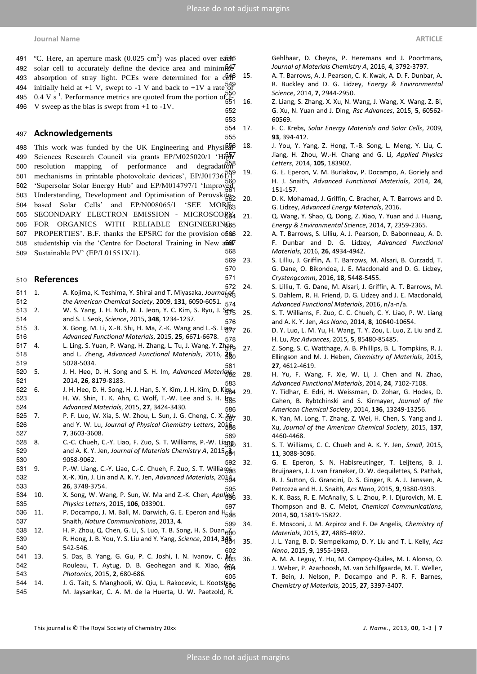491 °C. Here, an aperture mask (0.025 cm<sup>2</sup>) was placed over ea $\mathbb{R}^4$ 492 solar cell to accurately define the device area and minim $\frac{5}{2}$ 493 absorption of stray light. PCEs were determined for a  $c\bar{e}^{4\beta}$ 494 initially held at +1 V, swept to -1 V and back to +1V a rate of 495 .  $0.4 \text{ V s}^{-1}$ . Performance metrics are quoted from the portion of  $551$ 496 V sweep as the bias is swept from +1 to -1V.

# <sup>497</sup> **Acknowledgements**

498 This work was funded by the UK Engineering and Physi $\frac{55}{60}$ 499 Sciences Research Council via grants EP/M025020/1 'High'<br>500 resolution mapping of performance and degradation 500 resolution mapping of performance and degradation 501 mechanisms in printable photovoltaic devices', EP/J017361/1 502 'Supersolar Solar Energy Hub' and EP/M014797/1 'Improved 503 Understanding, Development and Optimisation of Perovskites-504 based Solar Cells' and EP/N008065/1 'SEE MORE3 505 SECONDARY ELECTRON EMISSION - MICROSCOBX4 506 FOR ORGANICS WITH RELIABLE ENGINEERING65 507 PROPERTIES'. B.F. thanks the EPSRC for the provision of 666 508 studentship via the 'Centre for Doctoral Training in New and  $\frac{600}{668}$ 509 Sustainable PV' (EP/L01551X/1).

# <sup>510</sup> **References**

- 511 1. A. Kojima, K. Teshima, Y. Shirai and T. Miyasaka, Journal 512 *the American Chemical Society*, 2009, **131**, 6050-6051.
- 513 2. W. S. Yang, J. H. Noh, N. J. Jeon, Y. C. Kim, S. Ryu, J. Segg
- 514 and S. I. Seok, *Science*, 2015, **348**, 1234-1237.
- 515 3. X. Gong, M. Li, X.-B. Shi, H. Ma, Z.-K. Wang and L.-S. Ligg<sub>7</sub>
- 516 *Advanced Functional Materials*, 2015, **25**, 6671-6678. 517 4. L. Ling, S. Yuan, P. Wang, H. Zhang, L. Tu, J. Wang, Y. Zhang
- 518 and L. Zheng, *Advanced Functional Materials*, 2016, **26**, 519 5028-5034.
- 520 5. J. H. Heo, D. H. Song and S. H. Im, *Advanced Materials*, 521 2014, **26**, 8179-8183.
- 522 6. J. H. Heo, D. H. Song, H. J. Han, S. Y. Kim, J. H. Kim, D. Kigg4 523 H. W. Shin, T. K. Ahn, C. Wolf, T.-W. Lee and S. H.  $\frac{100}{35}$ 524 *Advanced Materials*, 2015, **27**, 3424-3430.
- 525 7. P. F. Luo, W. Xia, S. W. Zhou, L. Sun, J. G. Cheng, C. X.  $\frac{X}{387}$ 526 and Y. W. Lu, *Journal of Physical Chemistry Letters*, 20 $\frac{1}{6}$ 527 **7**, 3603-3608.
- 528 8. C.-C. Chueh, C.-Y. Liao, F. Zuo, S. T. Williams, P.-W. Liagg 529 and A. K. Y. Jen, *Journal of Materials Chemistry A*, 2015, **3**, 530 9058-9062.
- 531 9. P.-W. Liang, C.-Y. Liao, C.-C. Chueh, F. Zuo, S. T. Willianggg 532 X.-K. Xin, J. Lin and A. K. Y. Jen, *Advanced Materials*, 20<sub>44</sub> 533 **26**, 3748-3754.
- 534 10. X. Song, W. Wang, P. Sun, W. Ma and Z.-K. Chen, *Applied*  535 *Physics Letters*, 2015, **106**, 033901.
- 536 11. P. Docampo, J. M. Ball, M. Darwich, G. E. Eperon and  $H_{598}$ 537 Snaith, *Nature Communications*, 2013, **4**.
- 538 12. H. P. Zhou, Q. Chen, G. Li, S. Luo, T. B. Song, H. S. Duan<sub>600</sub> 539 R. Hong, J. B. You, Y. S. Liu and Y. Yang, *Science*, 2014, **345**, 540 542-546.
- 541 13. S. Das, B. Yang, G. Gu, P. C. Joshi, I. N. Ivanov, C.  $\frac{\partial}{\partial 3}$ 542 Rouleau, T. Aytug, D. B. Geohegan and K. Xiao,  $\frac{1664}{160}$ 543 *Photonics*, 2015, **2**, 680-686.
- 543 *Photonics*, 2015, **2,** 680-686.<br>544 14. J. G. Tait, S. Manghooli, W. Qiu, L. Rakocevic, L. Kootstrag 545 M. Jaysankar, C. A. M. de la Huerta, U. W. Paetzold, R.

546 Gehlhaar, D. Cheyns, P. Heremans and J. Poortmans, 547 *Journal of Materials Chemistry A*, 2016, **4**, 3792-3797.

- 548 15. A. T. Barrows, A. J. Pearson, C. K. Kwak, A. D. F. Dunbar, A. 549 R. Buckley and D. G. Lidzey, *Energy & Environmental*  550 *Science*, 2014, **7**, 2944-2950.
- 551 16. Z. Liang, S. Zhang, X. Xu, N. Wang, J. Wang, X. Wang, Z. Bi, 552 G. Xu, N. Yuan and J. Ding, *Rsc Advances*, 2015, **5**, 60562- 553 60569.
- 554 17. F. C. Krebs, *Solar Energy Materials and Solar Cells*, 2009, 555 **93**, 394-412.
	- 556 18. J. You, Y. Yang, Z. Hong, T.-B. Song, L. Meng, Y. Liu, C. 557 Jiang, H. Zhou, W.-H. Chang and G. Li, *Applied Physics*  558 *Letters*, 2014, **105**, 183902.
	- 19. G. E. Eperon, V. M. Burlakov, P. Docampo, A. Goriely and 560 H. J. Snaith, *Advanced Functional Materials*, 2014, **24**, 151-157.
	- 20. D. K. Mohamad, J. Griffin, C. Bracher, A. T. Barrows and D. 563 G. Lidzey, *Advanced Energy Materials*, 2016.
	- 21. Q. Wang, Y. Shao, Q. Dong, Z. Xiao, Y. Yuan and J. Huang, 565 *Energy & Environmental Science*, 2014, **7**, 2359-2365.
	- 22. A. T. Barrows, S. Lilliu, A. J. Pearson, D. Babonneau, A. D. 567 F. Dunbar and D. G. Lidzey, *Advanced Functional*  568 *Materials*, 2016, **26**, 4934-4942.
- 569 23. S. Lilliu, J. Griffin, A. T. Barrows, M. Alsari, B. Curzadd, T. 570 G. Dane, O. Bikondoa, J. E. Macdonald and D. G. Lidzey, 571 *Crystengcomm*, 2016, **18**, 5448-5455.
- 572 24. S. Lilliu, T. G. Dane, M. Alsari, J. Griffin, A. T. Barrows, M. S. Dahlem, R. H. Friend, D. G. Lidzey and J. E. Macdonald, 574 *Advanced Functional Materials*, 2016, n/a-n/a.
- 25. S. T. Williams, F. Zuo, C. C. Chueh, C. Y. Liao, P. W. Liang 576 and A. K. Y. Jen, *Acs Nano*, 2014, **8**, 10640-10654.
- 577 26. D. Y. Luo, L. M. Yu, H. Wang, T. Y. Zou, L. Luo, Z. Liu and Z. 578 H. Lu, *Rsc Advances*, 2015, **5**, 85480-85485.
- 27. Z. Song, S. C. Watthage, A. B. Phillips, B. L. Tompkins, R. J. 580 Ellingson and M. J. Heben, *Chemistry of Materials*, 2015, 581 **27**, 4612-4619.
- 28. H. Yu, F. Wang, F. Xie, W. Li, J. Chen and N. Zhao, 583 *Advanced Functional Materials*, 2014, **24**, 7102-7108.
- 29. Y. Tidhar, E. Edri, H. Weissman, D. Zohar, G. Hodes, D. 585 Cahen, B. Rybtchinski and S. Kirmayer, *Journal of the*  586 *American Chemical Society*, 2014, **136**, 13249-13256.
- 587 30. K. Yan, M. Long, T. Zhang, Z. Wei, H. Chen, S. Yang and J. 588 Xu, *Journal of the American Chemical Society*, 2015, **137**, 589 4460-4468.
	- 590 31. S. T. Williams, C. C. Chueh and A. K. Y. Jen, *Small*, 2015, 591 **11**, 3088-3096.
- 592 32. G. E. Eperon, S. N. Habisreutinger, T. Leijtens, B. J. Bruijnaers, J. J. van Franeker, D. W. dequilettes, S. Pathak, 594 R. J. Sutton, G. Grancini, D. S. Ginger, R. A. J. Janssen, A. 595 Petrozza and H. J. Snaith, *Acs Nano*, 2015, **9**, 9380-9393.
- 596 33. K. K. Bass, R. E. McAnally, S. L. Zhou, P. I. Djurovich, M. E. 597 Thompson and B. C. Melot, *Chemical Communications*, 598 2014, **50**, 15819-15822.
- 599 34. E. Mosconi, J. M. Azpiroz and F. De Angelis, *Chemistry of*  600 *Materials*, 2015, **27**, 4885-4892.
- 601 35. J. L. Yang, B. D. Siempelkamp, D. Y. Liu and T. L. Kelly, *Acs*  602 *Nano*, 2015, **9**, 1955-1963.
	- 36. A. M. A. Leguy, Y. Hu, M. Campoy-Quiles, M. I. Alonso, O. J. Weber, P. Azarhoosh, M. van Schilfgaarde, M. T. Weller, T. Bein, J. Nelson, P. Docampo and P. R. F. Barnes, 606 *Chemistry of Materials*, 2015, **27**, 3397-3407.